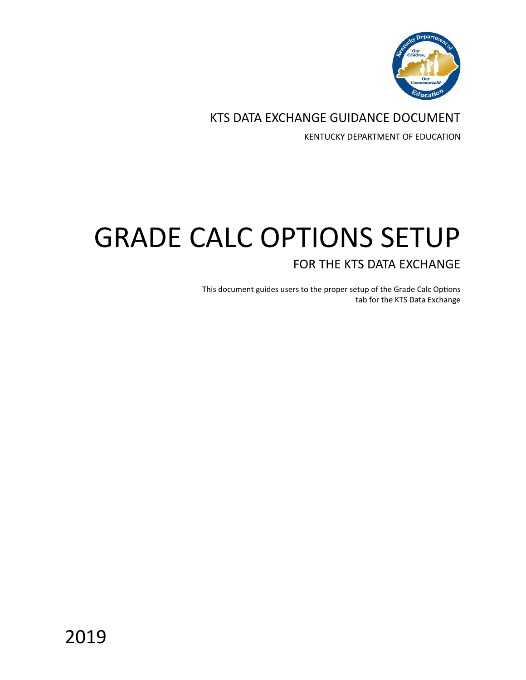

KTS DATA EXCHANGE GUIDANCE DOCUMENT

KENTUCKY DEPARTMENT OF EDUCATION

# GRADE CALC OPTIONS SETUP FOR THE KTS DATA EXCHANGE

This document guides users to the proper setup of the Grade Calc Options tab for the KTS Data Exchange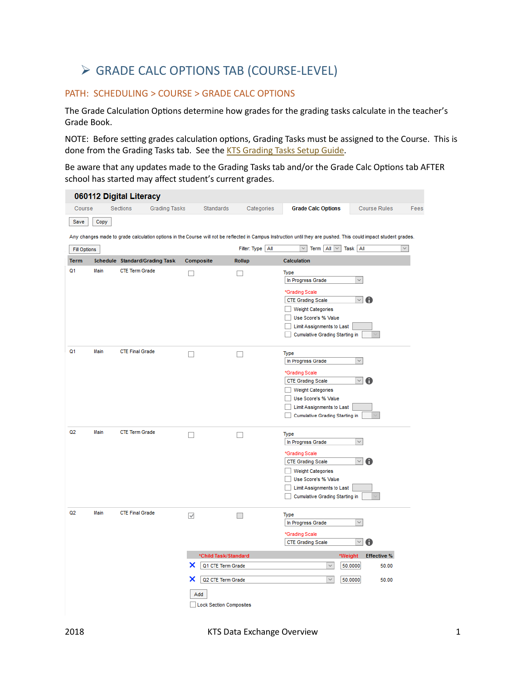## GRADE CALC OPTIONS TAB (COURSE-LEVEL)

### PATH: SCHEDULING > COURSE > GRADE CALC OPTIONS

The Grade Calculation Options determine how grades for the grading tasks calculate in the teacher's Grade Book.

NOTE: Before setting grades calculation options, Grading Tasks must be assigned to the Course. This is done from the Grading Tasks tab. See the KTS [Grading Tasks Setup Guide.](https://education.ky.gov/districts/tech/sis/Documents/KSIS-KTSGradingTask_Setup.pdf)

Be aware that any updates made to the Grading Tasks tab and/or the Grade Calc Options tab AFTER school has started may affect student's current grades.

|                     |      | 060112 Digital Literacy        |                      |                        |                                                                |                    |                                                                                                                                                                                                         |                              |                                                   |                                           |              |
|---------------------|------|--------------------------------|----------------------|------------------------|----------------------------------------------------------------|--------------------|---------------------------------------------------------------------------------------------------------------------------------------------------------------------------------------------------------|------------------------------|---------------------------------------------------|-------------------------------------------|--------------|
| Course              |      | Sections                       | <b>Grading Tasks</b> |                        | Standards                                                      | Categories         | <b>Grade Calc Options</b>                                                                                                                                                                               |                              |                                                   | <b>Course Rules</b>                       | Fees         |
| Save                | Copy |                                |                      |                        |                                                                |                    |                                                                                                                                                                                                         |                              |                                                   |                                           |              |
|                     |      |                                |                      |                        |                                                                |                    | Any changes made to grade calculation options in the Course will not be reflected in Campus Instruction until they are pushed. This could impact student grades.                                        |                              |                                                   |                                           |              |
| <b>Fill Options</b> |      |                                |                      |                        |                                                                | Filter: Type   All | $\backsim$                                                                                                                                                                                              | Term $\ $ All $\ $ $\vee$    | Task All                                          |                                           | $\checkmark$ |
| <b>Term</b>         |      | Schedule Standard/Grading Task |                      | Composite              |                                                                | Rollup             | <b>Calculation</b>                                                                                                                                                                                      |                              |                                                   |                                           |              |
| Q <sub>1</sub>      | Main | <b>CTE Term Grade</b>          |                      | П                      |                                                                |                    | Type<br>In Progress Grade<br>*Grading Scale<br><b>CTE Grading Scale</b><br>Weight Categories<br>Use Score's % Value<br>Limit Assignments to Last<br><b>Cumulative Grading Starting in</b>               |                              | $\checkmark$<br>$\sim$                            |                                           |              |
| Q <sub>1</sub>      | Main | <b>CTE Final Grade</b>         |                      |                        |                                                                |                    | <b>Type</b><br>In Progress Grade<br>*Grading Scale<br><b>CTE Grading Scale</b><br><b>Weight Categories</b><br>Use Score's % Value<br>Limit Assignments to Last<br><b>Cumulative Grading Starting in</b> |                              | $\checkmark$<br>$\vee$                            | A                                         |              |
| Q <sub>2</sub>      | Main | <b>CTE Term Grade</b>          |                      |                        |                                                                |                    | <b>Type</b><br>In Progress Grade<br>*Grading Scale<br><b>CTE Grading Scale</b><br><b>Weight Categories</b><br><b>Use Score's % Value</b><br>Limit Assignments to Last<br>Cumulative Grading Starting in |                              | $\checkmark$<br>$\checkmark$                      | Ð                                         |              |
| Q2                  | Main | <b>CTE Final Grade</b>         |                      | $\checkmark$<br>x<br>x | *Child Task/Standard<br>Q1 CTE Term Grade<br>Q2 CTE Term Grade |                    | Type<br>In Progress Grade<br>*Grading Scale<br><b>CTE Grading Scale</b>                                                                                                                                 | $\checkmark$<br>$\checkmark$ | $\sim$<br>$\vee$<br>*Weight<br>50.0000<br>50.0000 | A<br><b>Effective %</b><br>50.00<br>50.00 |              |
|                     |      |                                |                      | Add                    | <b>Lock Section Composites</b>                                 |                    |                                                                                                                                                                                                         |                              |                                                   |                                           |              |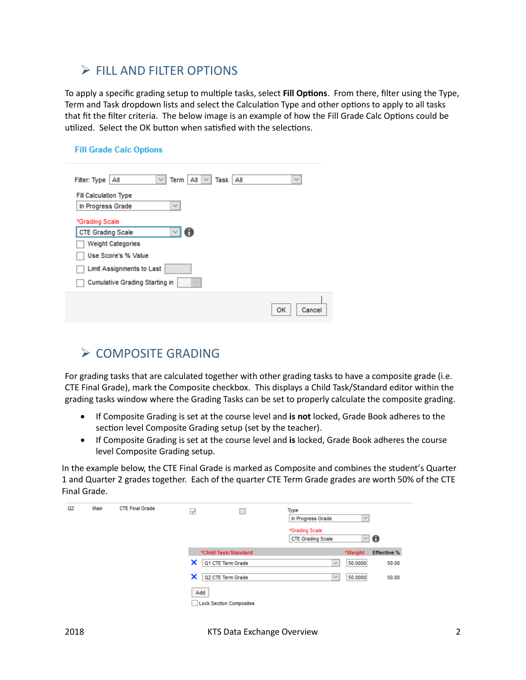### $\triangleright$  FILL AND FILTER OPTIONS

To apply a specific grading setup to multiple tasks, select **Fill Options**. From there, filter using the Type, Term and Task dropdown lists and select the Calculation Type and other options to apply to all tasks that fit the filter criteria. The below image is an example of how the Fill Grade Calc Options could be utilized. Select the OK button when satisfied with the selections.

### **Fill Grade Calc Options**

| $All \vee$<br>Term  <br>Task   All<br>Filter: Type<br>Αll<br>$\checkmark$ | $\checkmark$ |
|---------------------------------------------------------------------------|--------------|
| <b>Fill Calculation Type</b><br>$\checkmark$                              |              |
| In Progress Grade<br>*Grading Scale                                       |              |
| A<br><b>CTE Grading Scale</b>                                             |              |
| <b>Weight Categories</b>                                                  |              |
| <b>Use Score's % Value</b>                                                |              |
| <b>Limit Assignments to Last</b>                                          |              |
| <b>Cumulative Grading Starting in</b>                                     |              |
|                                                                           | OK<br>Cancel |

### $\triangleright$  COMPOSITE GRADING

For grading tasks that are calculated together with other grading tasks to have a composite grade (i.e. CTE Final Grade), mark the Composite checkbox. This displays a Child Task/Standard editor within the grading tasks window where the Grading Tasks can be set to properly calculate the composite grading.

- If Composite Grading is set at the course level and **is not** locked, Grade Book adheres to the section level Composite Grading setup (set by the teacher).
- If Composite Grading is set at the course level and **is** locked, Grade Book adheres the course level Composite Grading setup.

In the example below, the CTE Final Grade is marked as Composite and combines the student's Quarter 1 and Quarter 2 grades together. Each of the quarter CTE Term Grade grades are worth 50% of the CTE Final Grade.

| Q <sub>2</sub> | Main | <b>CTE Final Grade</b> | $\checkmark$                                                    | Type<br>In Progress Grade<br>$\checkmark$         |
|----------------|------|------------------------|-----------------------------------------------------------------|---------------------------------------------------|
|                |      |                        |                                                                 | *Grading Scale<br>∐ €<br><b>CTE Grading Scale</b> |
|                |      |                        | *Child Task/Standard                                            | <b>Effective %</b><br>*Weight                     |
|                |      |                        | ×<br>Q1 CTE Term Grade                                          | 50.0000<br>50.00<br>$\checkmark$<br>50.00         |
|                |      |                        | ×<br>Q2 CTE Term Grade<br>Add<br><b>Lock Section Composites</b> | 50.0000<br>$\checkmark$                           |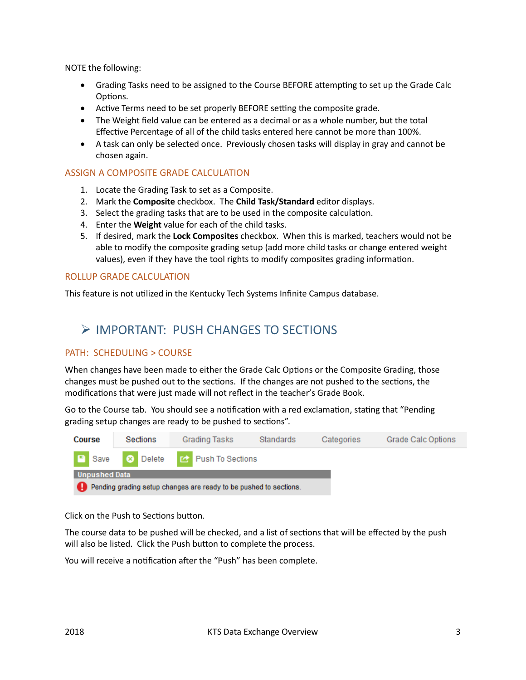NOTE the following:

- Grading Tasks need to be assigned to the Course BEFORE attempting to set up the Grade Calc Options.
- Active Terms need to be set properly BEFORE setting the composite grade.
- The Weight field value can be entered as a decimal or as a whole number, but the total Effective Percentage of all of the child tasks entered here cannot be more than 100%.
- A task can only be selected once. Previously chosen tasks will display in gray and cannot be chosen again.

#### ASSIGN A COMPOSITE GRADE CALCULATION

- 1. Locate the Grading Task to set as a Composite.
- 2. Mark the **Composite** checkbox. The **Child Task/Standard** editor displays.
- 3. Select the grading tasks that are to be used in the composite calculation.
- 4. Enter the **Weight** value for each of the child tasks.
- 5. If desired, mark the **Lock Composites** checkbox. When this is marked, teachers would not be able to modify the composite grading setup (add more child tasks or change entered weight values), even if they have the tool rights to modify composites grading information.

#### ROLLUP GRADE CALCULATION

This feature is not utilized in the Kentucky Tech Systems Infinite Campus database.

### IMPORTANT: PUSH CHANGES TO SECTIONS

#### PATH: SCHEDULING > COURSE

When changes have been made to either the Grade Calc Options or the Composite Grading, those changes must be pushed out to the sections. If the changes are not pushed to the sections, the modifications that were just made will not reflect in the teacher's Grade Book.

Go to the Course tab. You should see a notification with a red exclamation, stating that "Pending grading setup changes are ready to be pushed to sections".



Click on the Push to Sections button.

The course data to be pushed will be checked, and a list of sections that will be effected by the push will also be listed. Click the Push button to complete the process.

You will receive a notification after the "Push" has been complete.